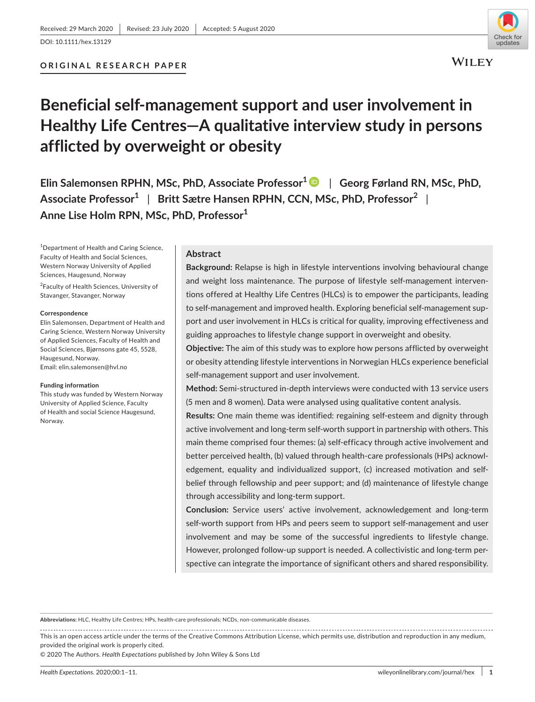

# **Beneficial self-management support and user involvement in Healthy Life Centres—A qualitative interview study in persons afflicted by overweight or obesity**

**Elin Salemonsen RPHN, MSc, PhD, Associate Professor1** | **Georg Førland RN, MSc, PhD, Associate Professor1** | **Britt Sætre Hansen RPHN, CCN, MSc, PhD, Professor<sup>2</sup>** | **Anne Lise Holm RPN, MSc, PhD, Professor1**

1 Department of Health and Caring Science, Faculty of Health and Social Sciences, Western Norway University of Applied Sciences, Haugesund, Norway

<sup>2</sup>Faculty of Health Sciences, University of Stavanger, Stavanger, Norway

#### **Correspondence**

Elin Salemonsen, Department of Health and Caring Science, Western Norway University of Applied Sciences, Faculty of Health and Social Sciences, Bjørnsons gate 45, 5528, Haugesund, Norway. Email: [elin.salemonsen@hvl.no](mailto:elin.salemonsen@hvl.no)

#### **Funding information**

This study was funded by Western Norway University of Applied Science, Faculty of Health and social Science Haugesund, Norway.

# **Abstract**

**Background:** Relapse is high in lifestyle interventions involving behavioural change and weight loss maintenance. The purpose of lifestyle self-management interventions offered at Healthy Life Centres (HLCs) is to empower the participants, leading to self-management and improved health. Exploring beneficial self-management support and user involvement in HLCs is critical for quality, improving effectiveness and guiding approaches to lifestyle change support in overweight and obesity.

**Objective:** The aim of this study was to explore how persons afflicted by overweight or obesity attending lifestyle interventions in Norwegian HLCs experience beneficial self-management support and user involvement.

**Method:** Semi-structured in-depth interviews were conducted with 13 service users (5 men and 8 women). Data were analysed using qualitative content analysis.

**Results:** One main theme was identified: regaining self-esteem and dignity through active involvement and long-term self-worth support in partnership with others. This main theme comprised four themes: (a) self-efficacy through active involvement and better perceived health, (b) valued through health-care professionals (HPs) acknowledgement, equality and individualized support, (c) increased motivation and selfbelief through fellowship and peer support; and (d) maintenance of lifestyle change through accessibility and long-term support.

**Conclusion:** Service users' active involvement, acknowledgement and long-term self-worth support from HPs and peers seem to support self-management and user involvement and may be some of the successful ingredients to lifestyle change. However, prolonged follow-up support is needed. A collectivistic and long-term perspective can integrate the importance of significant others and shared responsibility.

**Abbreviations:** HLC, Healthy Life Centres; HPs, health-care professionals; NCDs, non-communicable diseases.

This is an open access article under the terms of the [Creative Commons Attribution](http://creativecommons.org/licenses/by/4.0/) License, which permits use, distribution and reproduction in any medium, provided the original work is properly cited.

© 2020 The Authors. *Health Expectations* published by John Wiley & Sons Ltd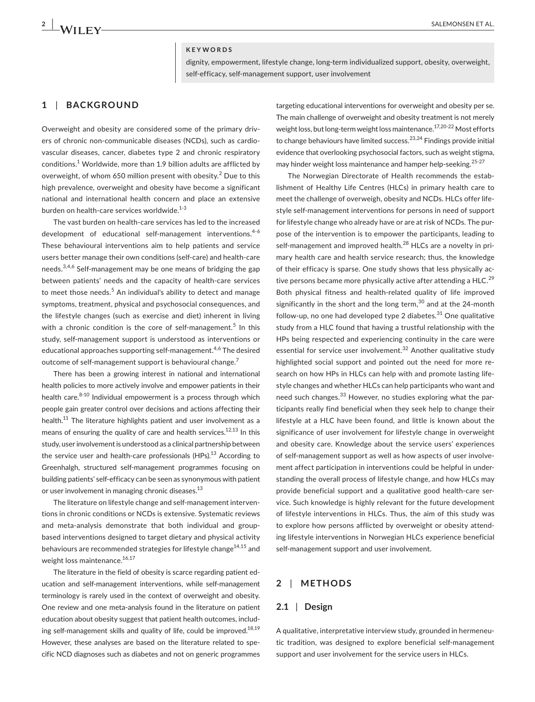### **KEYWORDS**

dignity, empowerment, lifestyle change, long-term individualized support, obesity, overweight, self-efficacy, self-management support, user involvement

# **1** | **BACKGROUND**

Overweight and obesity are considered some of the primary drivers of chronic non-communicable diseases (NCDs), such as cardiovascular diseases, cancer, diabetes type 2 and chronic respiratory  $\,$  conditions. $^1$  Worldwide, more than 1.9 billion adults are afflicted by overweight, of whom 650 million present with obesity.<sup>2</sup> Due to this high prevalence, overweight and obesity have become a significant national and international health concern and place an extensive burden on health-care services worldwide.<sup>1-3</sup>

The vast burden on health-care services has led to the increased development of educational self-management interventions.<sup>4-6</sup> These behavioural interventions aim to help patients and service users better manage their own conditions (self-care) and health-care needs.<sup>3,4,6</sup> Self-management may be one means of bridging the gap between patients' needs and the capacity of health-care services to meet those needs.<sup>5</sup> An individual's ability to detect and manage symptoms, treatment, physical and psychosocial consequences, and the lifestyle changes (such as exercise and diet) inherent in living with a chronic condition is the core of self-management.<sup>5</sup> In this study, self-management support is understood as interventions or educational approaches supporting self-management.<sup>4,6</sup> The desired outcome of self-management support is behavioural change.<sup>7</sup>

There has been a growing interest in national and international health policies to more actively involve and empower patients in their health care.<sup>8-10</sup> Individual empowerment is a process through which people gain greater control over decisions and actions affecting their health.<sup>11</sup> The literature highlights patient and user involvement as a means of ensuring the quality of care and health services.<sup>12,13</sup> In this study, user involvement is understood as a clinical partnership between the service user and health-care professionals  $(HPs)<sup>13</sup>$  According to Greenhalgh, structured self-management programmes focusing on building patients' self-efficacy can be seen as synonymous with patient or user involvement in managing chronic diseases.<sup>13</sup>

The literature on lifestyle change and self-management interventions in chronic conditions or NCDs is extensive. Systematic reviews and meta-analysis demonstrate that both individual and groupbased interventions designed to target dietary and physical activity behaviours are recommended strategies for lifestyle change<sup>14,15</sup> and weight loss maintenance.<sup>16,17</sup>

The literature in the field of obesity is scarce regarding patient education and self-management interventions, while self-management terminology is rarely used in the context of overweight and obesity. One review and one meta-analysis found in the literature on patient education about obesity suggest that patient health outcomes, including self-management skills and quality of life, could be improved.<sup>18,19</sup> However, these analyses are based on the literature related to specific NCD diagnoses such as diabetes and not on generic programmes

targeting educational interventions for overweight and obesity per se. The main challenge of overweight and obesity treatment is not merely weight loss, but long-term weight loss maintenance.<sup>17,20-22</sup> Most efforts to change behaviours have limited success.<sup>23,24</sup> Findings provide initial evidence that overlooking psychosocial factors, such as weight stigma, may hinder weight loss maintenance and hamper help-seeking.<sup>25-27</sup>

The Norwegian Directorate of Health recommends the establishment of Healthy Life Centres (HLCs) in primary health care to meet the challenge of overweigh, obesity and NCDs. HLCs offer lifestyle self-management interventions for persons in need of support for lifestyle change who already have or are at risk of NCDs. The purpose of the intervention is to empower the participants, leading to self-management and improved health.<sup>28</sup> HLCs are a novelty in primary health care and health service research; thus, the knowledge of their efficacy is sparse. One study shows that less physically active persons became more physically active after attending a HLC.<sup>29</sup> Both physical fitness and health-related quality of life improved significantly in the short and the long term, $30$  and at the 24-month follow-up, no one had developed type 2 diabetes. $31$  One qualitative study from a HLC found that having a trustful relationship with the HPs being respected and experiencing continuity in the care were essential for service user involvement.<sup>32</sup> Another qualitative study highlighted social support and pointed out the need for more research on how HPs in HLCs can help with and promote lasting lifestyle changes and whether HLCs can help participants who want and need such changes.<sup>33</sup> However, no studies exploring what the participants really find beneficial when they seek help to change their lifestyle at a HLC have been found, and little is known about the significance of user involvement for lifestyle change in overweight and obesity care. Knowledge about the service users' experiences of self-management support as well as how aspects of user involvement affect participation in interventions could be helpful in understanding the overall process of lifestyle change, and how HLCs may provide beneficial support and a qualitative good health-care service. Such knowledge is highly relevant for the future development of lifestyle interventions in HLCs. Thus, the aim of this study was to explore how persons afflicted by overweight or obesity attending lifestyle interventions in Norwegian HLCs experience beneficial self-management support and user involvement.

# **2** | **METHODS**

### **2.1** | **Design**

A qualitative, interpretative interview study, grounded in hermeneutic tradition, was designed to explore beneficial self-management support and user involvement for the service users in HLCs.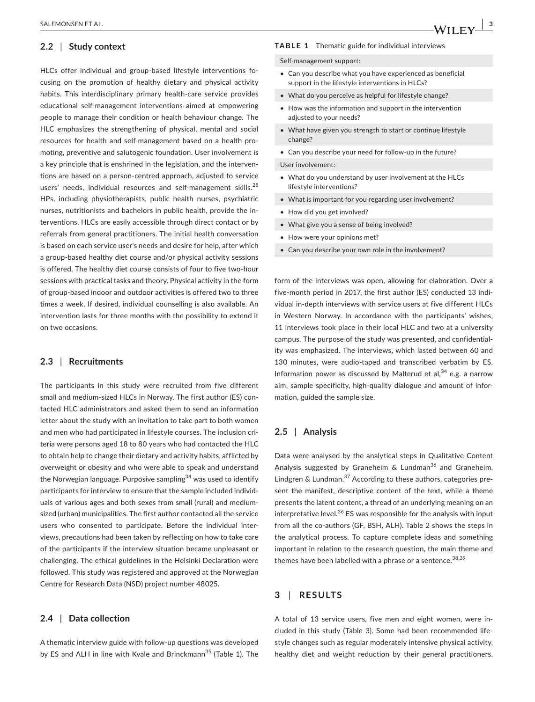### **2.2** | **Study context**

HLCs offer individual and group-based lifestyle interventions focusing on the promotion of healthy dietary and physical activity habits. This interdisciplinary primary health-care service provides educational self-management interventions aimed at empowering people to manage their condition or health behaviour change. The HLC emphasizes the strengthening of physical, mental and social resources for health and self-management based on a health promoting, preventive and salutogenic foundation. User involvement is a key principle that is enshrined in the legislation, and the interventions are based on a person-centred approach, adjusted to service users' needs, individual resources and self-management skills.<sup>28</sup> HPs, including physiotherapists, public health nurses, psychiatric nurses, nutritionists and bachelors in public health, provide the interventions. HLCs are easily accessible through direct contact or by referrals from general practitioners. The initial health conversation is based on each service user's needs and desire for help, after which a group-based healthy diet course and/or physical activity sessions is offered. The healthy diet course consists of four to five two-hour sessions with practical tasks and theory. Physical activity in the form of group-based indoor and outdoor activities is offered two to three times a week. If desired, individual counselling is also available. An intervention lasts for three months with the possibility to extend it on two occasions.

### **2.3** | **Recruitments**

The participants in this study were recruited from five different small and medium-sized HLCs in Norway. The first author (ES) contacted HLC administrators and asked them to send an information letter about the study with an invitation to take part to both women and men who had participated in lifestyle courses. The inclusion criteria were persons aged 18 to 80 years who had contacted the HLC to obtain help to change their dietary and activity habits, afflicted by overweight or obesity and who were able to speak and understand the Norwegian language. Purposive sampling<sup>34</sup> was used to identify participants for interview to ensure that the sample included individuals of various ages and both sexes from small (rural) and mediumsized (urban) municipalities. The first author contacted all the service users who consented to participate. Before the individual interviews, precautions had been taken by reflecting on how to take care of the participants if the interview situation became unpleasant or challenging. The ethical guidelines in the Helsinki Declaration were followed. This study was registered and approved at the Norwegian Centre for Research Data (NSD) project number 48025.

# **2.4** | **Data collection**

A thematic interview guide with follow-up questions was developed by ES and ALH in line with Kvale and Brinckmann<sup>35</sup> (Table 1). The

#### **TABLE 1** Thematic guide for individual interviews

Self-management support:

- Can you describe what you have experienced as beneficial support in the lifestyle interventions in HLCs?
- What do you perceive as helpful for lifestyle change?
- How was the information and support in the intervention adjusted to your needs?
- What have given you strength to start or continue lifestyle change?
- Can you describe your need for follow-up in the future?

#### User involvement:

- What do you understand by user involvement at the HLCs lifestyle interventions?
- What is important for you regarding user involvement?
- How did you get involved?
- What give you a sense of being involved?
- How were your opinions met?
- Can you describe your own role in the involvement?

form of the interviews was open, allowing for elaboration. Over a five-month period in 2017, the first author (ES) conducted 13 individual in-depth interviews with service users at five different HLCs in Western Norway. In accordance with the participants' wishes, 11 interviews took place in their local HLC and two at a university campus. The purpose of the study was presented, and confidentiality was emphasized. The interviews, which lasted between 60 and 130 minutes, were audio-taped and transcribed verbatim by ES. Information power as discussed by Malterud et al,  $34$  e.g. a narrow aim, sample specificity, high-quality dialogue and amount of information, guided the sample size.

### **2.5** | **Analysis**

Data were analysed by the analytical steps in Qualitative Content Analysis suggested by Graneheim & Lundman<sup>36</sup> and Graneheim, Lindgren & Lundman.<sup>37</sup> According to these authors, categories present the manifest, descriptive content of the text, while a theme presents the latent content, a thread of an underlying meaning on an interpretative level. $36$  ES was responsible for the analysis with input from all the co-authors (GF, BSH, ALH). Table 2 shows the steps in the analytical process. To capture complete ideas and something important in relation to the research question, the main theme and themes have been labelled with a phrase or a sentence.  $38,39$ 

# **3** | **RESULTS**

A total of 13 service users, five men and eight women, were included in this study (Table 3). Some had been recommended lifestyle changes such as regular moderately intensive physical activity, healthy diet and weight reduction by their general practitioners.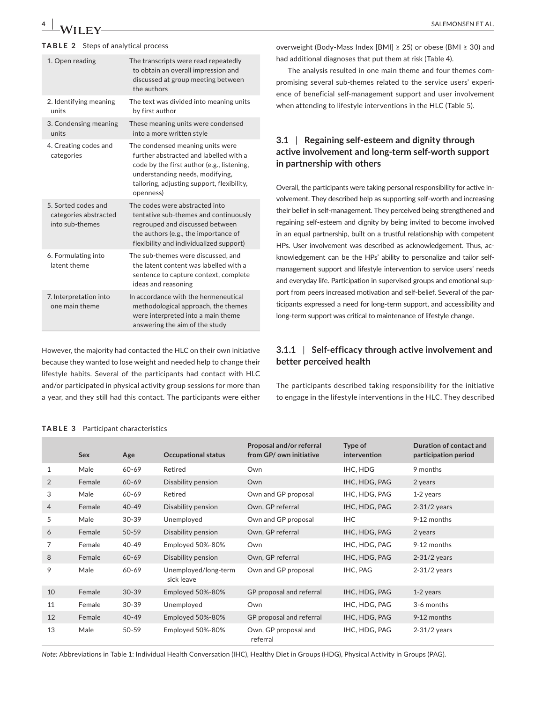### **TABLE 2** Steps of analytical process

| The transcripts were read repeatedly<br>to obtain an overall impression and<br>discussed at group meeting between<br>the authors                                                                                       |
|------------------------------------------------------------------------------------------------------------------------------------------------------------------------------------------------------------------------|
| The text was divided into meaning units<br>by first author                                                                                                                                                             |
| These meaning units were condensed<br>into a more written style                                                                                                                                                        |
| The condensed meaning units were<br>further abstracted and labelled with a<br>code by the first author (e.g., listening,<br>understanding needs, modifying,<br>tailoring, adjusting support, flexibility,<br>openness) |
| The codes were abstracted into<br>tentative sub-themes and continuously<br>regrouped and discussed between<br>the authors (e.g., the importance of<br>flexibility and individualized support)                          |
| The sub-themes were discussed, and<br>the latent content was labelled with a<br>sentence to capture context, complete<br>ideas and reasoning                                                                           |
| In accordance with the hermeneutical<br>methodological approach, the themes<br>were interpreted into a main theme<br>answering the aim of the study                                                                    |
|                                                                                                                                                                                                                        |

However, the majority had contacted the HLC on their own initiative because they wanted to lose weight and needed help to change their lifestyle habits. Several of the participants had contact with HLC and/or participated in physical activity group sessions for more than a year, and they still had this contact. The participants were either overweight (Body-Mass Index [BMI] ≥ 25) or obese (BMI ≥ 30) and had additional diagnoses that put them at risk (Table 4).

The analysis resulted in one main theme and four themes compromising several sub-themes related to the service users' experience of beneficial self-management support and user involvement when attending to lifestyle interventions in the HLC (Table 5).

# **3.1** | **Regaining self-esteem and dignity through active involvement and long-term self-worth support in partnership with others**

Overall, the participants were taking personal responsibility for active involvement. They described help as supporting self-worth and increasing their belief in self-management. They perceived being strengthened and regaining self-esteem and dignity by being invited to become involved in an equal partnership, built on a trustful relationship with competent HPs. User involvement was described as acknowledgement. Thus, acknowledgement can be the HPs' ability to personalize and tailor selfmanagement support and lifestyle intervention to service users' needs and everyday life. Participation in supervised groups and emotional support from peers increased motivation and self-belief. Several of the participants expressed a need for long-term support, and accessibility and long-term support was critical to maintenance of lifestyle change.

# **3.1.1** | **Self-efficacy through active involvement and better perceived health**

The participants described taking responsibility for the initiative to engage in the lifestyle interventions in the HLC. They described

|                | <b>Sex</b> | Age       | <b>Occupational status</b>         | Proposal and/or referral<br>from GP/ own initiative | Type of<br><i>intervention</i> | Duration of contact and<br>participation period |
|----------------|------------|-----------|------------------------------------|-----------------------------------------------------|--------------------------------|-------------------------------------------------|
| 1              | Male       | 60-69     | Retired                            | Own                                                 | IHC, HDG                       | 9 months                                        |
| 2              | Female     | $60 - 69$ | Disability pension                 | Own                                                 | IHC, HDG, PAG                  | 2 years                                         |
| 3              | Male       | 60-69     | Retired                            | Own and GP proposal                                 | IHC, HDG, PAG                  | 1-2 years                                       |
| $\overline{4}$ | Female     | $40 - 49$ | Disability pension                 | Own, GP referral                                    | IHC, HDG, PAG                  | $2-31/2$ years                                  |
| 5              | Male       | $30 - 39$ | Unemployed                         | Own and GP proposal                                 | <b>IHC</b>                     | 9-12 months                                     |
| 6              | Female     | $50 - 59$ | Disability pension                 | Own, GP referral                                    | IHC, HDG, PAG                  | 2 years                                         |
| 7              | Female     | 40-49     | Employed 50%-80%                   | Own                                                 | IHC, HDG, PAG                  | 9-12 months                                     |
| 8              | Female     | $60 - 69$ | Disability pension                 | Own, GP referral                                    | IHC, HDG, PAG                  | $2-31/2$ years                                  |
| 9              | Male       | 60-69     | Unemployed/long-term<br>sick leave | Own and GP proposal                                 | IHC, PAG                       | $2-31/2$ years                                  |
| 10             | Female     | $30 - 39$ | Employed 50%-80%                   | GP proposal and referral                            | IHC, HDG, PAG                  | 1-2 years                                       |
| 11             | Female     | $30 - 39$ | Unemployed                         | Own                                                 | IHC, HDG, PAG                  | 3-6 months                                      |
| 12             | Female     | $40 - 49$ | Employed 50%-80%                   | GP proposal and referral                            | IHC, HDG, PAG                  | 9-12 months                                     |
| 13             | Male       | 50-59     | Employed 50%-80%                   | Own, GP proposal and<br>referral                    | IHC, HDG, PAG                  | $2-31/2$ years                                  |

### **TABLE 3** Participant characteristics

*Note:* Abbreviations in Table 1: Individual Health Conversation (IHC), Healthy Diet in Groups (HDG), Physical Activity in Groups (PAG).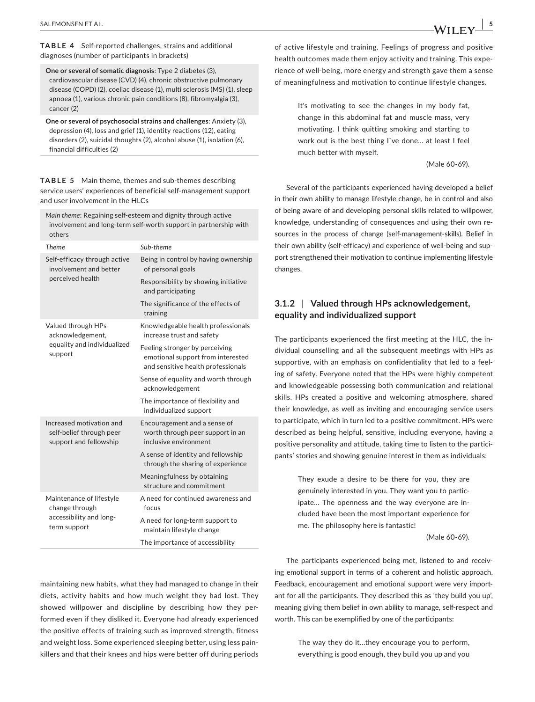**TABLE 4** Self-reported challenges, strains and additional diagnoses (number of participants in brackets)

**One or several of somatic diagnosis**: Type 2 diabetes (3), cardiovascular disease (CVD) (4), chronic obstructive pulmonary disease (COPD) (2), coeliac disease (1), multi sclerosis (MS) (1), sleep apnoea (1), various chronic pain conditions (8), fibromyalgia (3), cancer (2)

**One or several of psychosocial strains and challenges**: Anxiety (3), depression (4), loss and grief (1), identity reactions (12), eating disorders (2), suicidal thoughts (2), alcohol abuse (1), isolation (6), financial difficulties (2)

**TABLE 5** Main theme, themes and sub-themes describing service users' experiences of beneficial self-management support and user involvement in the HLCs

*Main theme*: Regaining self-esteem and dignity through active involvement and long-term self-worth support in partnership with others

| <b>Theme</b>                                                                   | Sub-theme                                                                                                 |
|--------------------------------------------------------------------------------|-----------------------------------------------------------------------------------------------------------|
| Self-efficacy through active<br>involvement and better                         | Being in control by having ownership<br>of personal goals                                                 |
| perceived health                                                               | Responsibility by showing initiative<br>and participating                                                 |
|                                                                                | The significance of the effects of<br>training                                                            |
| Valued through HPs<br>acknowledgement,                                         | Knowledgeable health professionals<br>increase trust and safety                                           |
| equality and individualized<br>support                                         | Feeling stronger by perceiving<br>emotional support from interested<br>and sensitive health professionals |
|                                                                                | Sense of equality and worth through<br>acknowledgement                                                    |
|                                                                                | The importance of flexibility and<br>individualized support                                               |
| Increased motivation and<br>self-belief through peer<br>support and fellowship | Encouragement and a sense of<br>worth through peer support in an<br>inclusive environment                 |
|                                                                                | A sense of identity and fellowship<br>through the sharing of experience                                   |
|                                                                                | Meaningfulness by obtaining<br>structure and commitment                                                   |
| Maintenance of lifestyle<br>change through                                     | A need for continued awareness and<br>focus                                                               |
| accessibility and long-<br>term support                                        | A need for long-term support to<br>maintain lifestyle change                                              |
|                                                                                | The importance of accessibility                                                                           |

maintaining new habits, what they had managed to change in their diets, activity habits and how much weight they had lost. They showed willpower and discipline by describing how they performed even if they disliked it. Everyone had already experienced the positive effects of training such as improved strength, fitness and weight loss. Some experienced sleeping better, using less painkillers and that their knees and hips were better off during periods

of active lifestyle and training. Feelings of progress and positive health outcomes made them enjoy activity and training. This experience of well-being, more energy and strength gave them a sense of meaningfulness and motivation to continue lifestyle changes.

> It's motivating to see the changes in my body fat, change in this abdominal fat and muscle mass, very motivating. I think quitting smoking and starting to work out is the best thing I`ve done… at least I feel much better with myself.

> > (Male 60-69).

Several of the participants experienced having developed a belief in their own ability to manage lifestyle change, be in control and also of being aware of and developing personal skills related to willpower, knowledge, understanding of consequences and using their own resources in the process of change (self-management-skills). Belief in their own ability (self-efficacy) and experience of well-being and support strengthened their motivation to continue implementing lifestyle changes.

# **3.1.2** | **Valued through HPs acknowledgement, equality and individualized support**

The participants experienced the first meeting at the HLC, the individual counselling and all the subsequent meetings with HPs as supportive, with an emphasis on confidentiality that led to a feeling of safety. Everyone noted that the HPs were highly competent and knowledgeable possessing both communication and relational skills. HPs created a positive and welcoming atmosphere, shared their knowledge, as well as inviting and encouraging service users to participate, which in turn led to a positive commitment. HPs were described as being helpful, sensitive, including everyone, having a positive personality and attitude, taking time to listen to the participants' stories and showing genuine interest in them as individuals:

> They exude a desire to be there for you, they are genuinely interested in you. They want you to participate… The openness and the way everyone are included have been the most important experience for me. The philosophy here is fantastic!

> > (Male 60-69).

The participants experienced being met, listened to and receiving emotional support in terms of a coherent and holistic approach. Feedback, encouragement and emotional support were very important for all the participants. They described this as 'they build you up', meaning giving them belief in own ability to manage, self-respect and worth. This can be exemplified by one of the participants:

> The way they do it…they encourage you to perform, everything is good enough, they build you up and you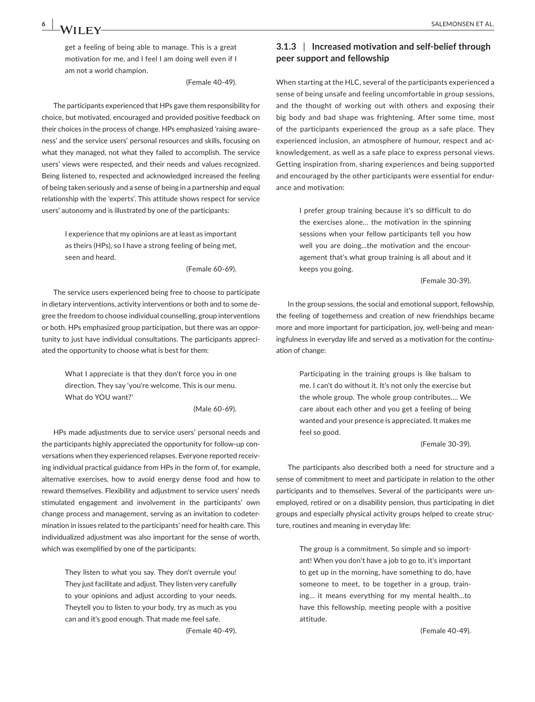get a feeling of being able to manage. This is a great motivation for me, and I feel I am doing well even if I am not a world champion.

(Female 40-49).

The participants experienced that HPs gave them responsibility for choice, but motivated, encouraged and provided positive feedback on their choices in the process of change. HPs emphasized 'raising awareness' and the service users' personal resources and skills, focusing on what they managed, not what they failed to accomplish. The service users' views were respected, and their needs and values recognized. Being listened to, respected and acknowledged increased the feeling of being taken seriously and a sense of being in a partnership and equal relationship with the 'experts'. This attitude shows respect for service users' autonomy and is illustrated by one of the participants:

> I experience that my opinions are at least as important as theirs (HPs), so I have a strong feeling of being met, seen and heard.

> > (Female 60-69).

The service users experienced being free to choose to participate in dietary interventions, activity interventions or both and to some degree the freedom to choose individual counselling, group interventions or both. HPs emphasized group participation, but there was an opportunity to just have individual consultations. The participants appreciated the opportunity to choose what is best for them:

> What I appreciate is that they don't force you in one direction. They say 'you're welcome. This is our menu. What do YOU want?'

> > (Male 60-69).

HPs made adjustments due to service users' personal needs and the participants highly appreciated the opportunity for follow-up conversations when they experienced relapses. Everyone reported receiving individual practical guidance from HPs in the form of, for example, alternative exercises, how to avoid energy dense food and how to reward themselves. Flexibility and adjustment to service users' needs stimulated engagement and involvement in the participants' own change process and management, serving as an invitation to codetermination in issues related to the participants' need for health care. This individualized adjustment was also important for the sense of worth, which was exemplified by one of the participants:

> They listen to what you say. They don't overrule you! They just facilitate and adjust. They listen very carefully to your opinions and adjust according to your needs. Theytell you to listen to your body, try as much as you can and it's good enough. That made me feel safe. (Female 40-49).

# **3.1.3** | **Increased motivation and self-belief through peer support and fellowship**

When starting at the HLC, several of the participants experienced a sense of being unsafe and feeling uncomfortable in group sessions, and the thought of working out with others and exposing their big body and bad shape was frightening. After some time, most of the participants experienced the group as a safe place. They experienced inclusion, an atmosphere of humour, respect and acknowledgement, as well as a safe place to express personal views. Getting inspiration from, sharing experiences and being supported and encouraged by the other participants were essential for endurance and motivation:

> I prefer group training because it's so difficult to do the exercises alone… the motivation in the spinning sessions when your fellow participants tell you how well you are doing…the motivation and the encouragement that's what group training is all about and it keeps you going.

> > (Female 30-39).

In the group sessions, the social and emotional support, fellowship, the feeling of togetherness and creation of new friendships became more and more important for participation, joy, well-being and meaningfulness in everyday life and served as a motivation for the continuation of change:

> Participating in the training groups is like balsam to me. I can't do without it. It's not only the exercise but the whole group. The whole group contributes…. We care about each other and you get a feeling of being wanted and your presence is appreciated. It makes me feel so good.

> > (Female 30-39).

The participants also described both a need for structure and a sense of commitment to meet and participate in relation to the other participants and to themselves. Several of the participants were unemployed, retired or on a disability pension, thus participating in diet groups and especially physical activity groups helped to create structure, routines and meaning in everyday life:

> The group is a commitment. So simple and so important! When you don't have a job to go to, it's important to get up in the morning, have something to do, have someone to meet, to be together in a group, training… it means everything for my mental health…to have this fellowship, meeting people with a positive attitude.

> > (Female 40-49).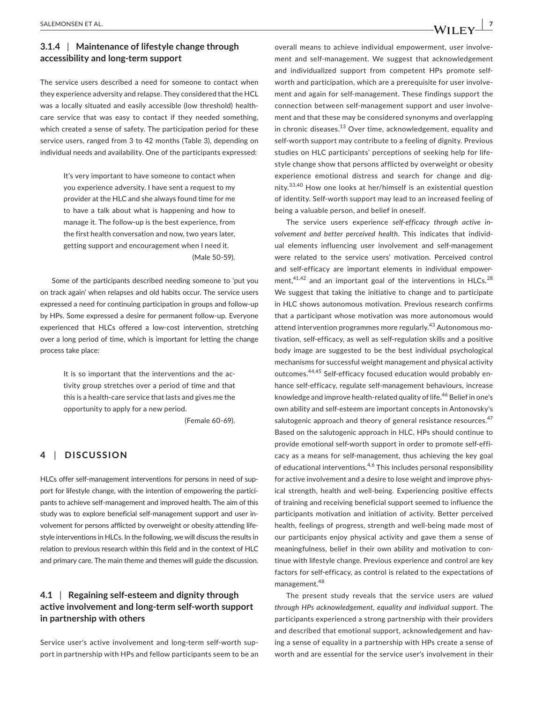# **3.1.4** | **Maintenance of lifestyle change through accessibility and long-term support**

The service users described a need for someone to contact when they experience adversity and relapse. They considered that the HCL was a locally situated and easily accessible (low threshold) healthcare service that was easy to contact if they needed something, which created a sense of safety. The participation period for these service users, ranged from 3 to 42 months (Table 3), depending on individual needs and availability. One of the participants expressed:

> It's very important to have someone to contact when you experience adversity. I have sent a request to my provider at the HLC and she always found time for me to have a talk about what is happening and how to manage it. The follow-up is the best experience, from the first health conversation and now, two years later, getting support and encouragement when I need it. (Male 50-59).

Some of the participants described needing someone to 'put you on track again' when relapses and old habits occur. The service users expressed a need for continuing participation in groups and follow-up by HPs. Some expressed a desire for permanent follow-up. Everyone experienced that HLCs offered a low-cost intervention, stretching over a long period of time, which is important for letting the change process take place:

> It is so important that the interventions and the activity group stretches over a period of time and that this is a health-care service that lasts and gives me the opportunity to apply for a new period.

> > (Female 60-69).

# **4** | **DISCUSSION**

HLCs offer self-management interventions for persons in need of support for lifestyle change, with the intention of empowering the participants to achieve self-management and improved health. The aim of this study was to explore beneficial self-management support and user involvement for persons afflicted by overweight or obesity attending lifestyle interventions in HLCs. In the following, we will discuss the results in relation to previous research within this field and in the context of HLC and primary care. The main theme and themes will guide the discussion.

# **4.1** | **Regaining self-esteem and dignity through active involvement and long-term self-worth support in partnership with others**

Service user's active involvement and long-term self-worth support in partnership with HPs and fellow participants seem to be an overall means to achieve individual empowerment, user involvement and self-management. We suggest that acknowledgement and individualized support from competent HPs promote selfworth and participation, which are a prerequisite for user involvement and again for self-management. These findings support the connection between self-management support and user involvement and that these may be considered synonyms and overlapping in chronic diseases. $^{13}$  Over time, acknowledgement, equality and self-worth support may contribute to a feeling of dignity. Previous studies on HLC participants' perceptions of seeking help for lifestyle change show that persons afflicted by overweight or obesity experience emotional distress and search for change and dignity.33,40 How one looks at her/himself is an existential question of identity. Self-worth support may lead to an increased feeling of being a valuable person, and belief in oneself.

The service users experience *self-efficacy through active involvement and better perceived health*. This indicates that individual elements influencing user involvement and self-management were related to the service users' motivation. Perceived control and self-efficacy are important elements in individual empowerment, $41,42$  and an important goal of the interventions in HLCs. $28$ We suggest that taking the initiative to change and to participate in HLC shows autonomous motivation. Previous research confirms that a participant whose motivation was more autonomous would attend intervention programmes more regularly.<sup>43</sup> Autonomous motivation, self-efficacy, as well as self-regulation skills and a positive body image are suggested to be the best individual psychological mechanisms for successful weight management and physical activity outcomes.44,45 Self-efficacy focused education would probably enhance self-efficacy, regulate self-management behaviours, increase knowledge and improve health-related quality of life.<sup>46</sup> Belief in one's own ability and self-esteem are important concepts in Antonovsky's salutogenic approach and theory of general resistance resources.<sup>47</sup> Based on the salutogenic approach in HLC, HPs should continue to provide emotional self-worth support in order to promote self-efficacy as a means for self-management, thus achieving the key goal of educational interventions.4,6 This includes personal responsibility for active involvement and a desire to lose weight and improve physical strength, health and well-being. Experiencing positive effects of training and receiving beneficial support seemed to influence the participants motivation and initiation of activity. Better perceived health, feelings of progress, strength and well-being made most of our participants enjoy physical activity and gave them a sense of meaningfulness, belief in their own ability and motivation to continue with lifestyle change. Previous experience and control are key factors for self-efficacy, as control is related to the expectations of management.<sup>48</sup>

The present study reveals that the service users are *valued through HPs acknowledgement, equality and individual support*. The participants experienced a strong partnership with their providers and described that emotional support, acknowledgement and having a sense of equality in a partnership with HPs create a sense of worth and are essential for the service user's involvement in their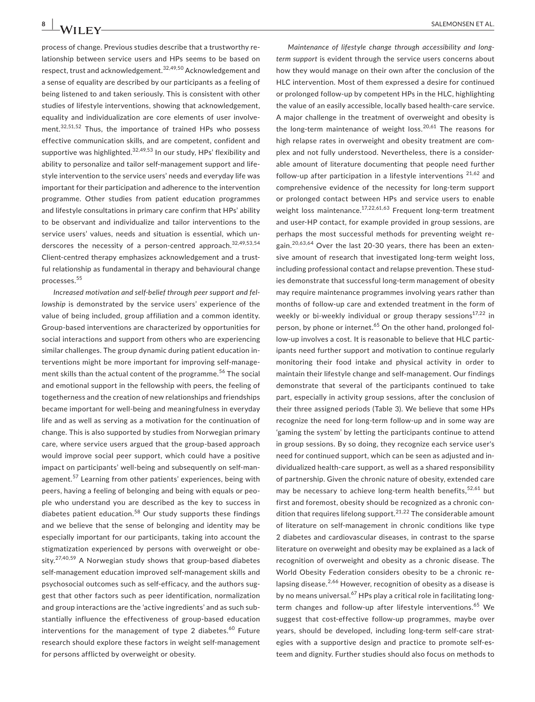process of change. Previous studies describe that a trustworthy relationship between service users and HPs seems to be based on respect, trust and acknowledgement.32,49,50 Acknowledgement and a sense of equality are described by our participants as a feeling of being listened to and taken seriously. This is consistent with other studies of lifestyle interventions, showing that acknowledgement, equality and individualization are core elements of user involvement.<sup>32,51,52</sup> Thus, the importance of trained HPs who possess effective communication skills, and are competent, confident and supportive was highlighted. $32,49,53$  In our study, HPs' flexibility and ability to personalize and tailor self-management support and lifestyle intervention to the service users' needs and everyday life was important for their participation and adherence to the intervention programme. Other studies from patient education programmes and lifestyle consultations in primary care confirm that HPs' ability to be observant and individualize and tailor interventions to the service users' values, needs and situation is essential, which underscores the necessity of a person-centred approach.  $32,49,53,54$ Client-centred therapy emphasizes acknowledgement and a trustful relationship as fundamental in therapy and behavioural change processes.<sup>55</sup>

*Increased motivation and self-belief through peer support and fellowship* is demonstrated by the service users' experience of the value of being included, group affiliation and a common identity. Group-based interventions are characterized by opportunities for social interactions and support from others who are experiencing similar challenges. The group dynamic during patient education interventions might be more important for improving self-management skills than the actual content of the programme.<sup>56</sup> The social and emotional support in the fellowship with peers, the feeling of togetherness and the creation of new relationships and friendships became important for well-being and meaningfulness in everyday life and as well as serving as a motivation for the continuation of change. This is also supported by studies from Norwegian primary care, where service users argued that the group-based approach would improve social peer support, which could have a positive impact on participants' well-being and subsequently on self-management.<sup>57</sup> Learning from other patients' experiences, being with peers, having a feeling of belonging and being with equals or people who understand you are described as the key to success in diabetes patient education.<sup>58</sup> Our study supports these findings and we believe that the sense of belonging and identity may be especially important for our participants, taking into account the stigmatization experienced by persons with overweight or obesity.<sup>27,40,59</sup> A Norwegian study shows that group-based diabetes self-management education improved self-management skills and psychosocial outcomes such as self-efficacy, and the authors suggest that other factors such as peer identification, normalization and group interactions are the 'active ingredients' and as such substantially influence the effectiveness of group-based education interventions for the management of type 2 diabetes.<sup>60</sup> Future research should explore these factors in weight self-management for persons afflicted by overweight or obesity.

*Maintenance of lifestyle change through accessibility and longterm support* is evident through the service users concerns about how they would manage on their own after the conclusion of the HLC intervention. Most of them expressed a desire for continued or prolonged follow-up by competent HPs in the HLC, highlighting the value of an easily accessible, locally based health-care service. A major challenge in the treatment of overweight and obesity is the long-term maintenance of weight loss.<sup>20,61</sup> The reasons for high relapse rates in overweight and obesity treatment are complex and not fully understood. Nevertheless, there is a considerable amount of literature documenting that people need further follow-up after participation in a lifestyle interventions  $21,62$  and comprehensive evidence of the necessity for long-term support or prolonged contact between HPs and service users to enable weight loss maintenance.<sup>17,22,61,63</sup> Frequent long-term treatment and user-HP contact, for example provided in group sessions, are perhaps the most successful methods for preventing weight regain.<sup>20,63,64</sup> Over the last 20-30 years, there has been an extensive amount of research that investigated long-term weight loss, including professional contact and relapse prevention. These studies demonstrate that successful long-term management of obesity may require maintenance programmes involving years rather than months of follow-up care and extended treatment in the form of weekly or bi-weekly individual or group therapy sessions $17,22$  in person, by phone or internet.<sup>65</sup> On the other hand, prolonged follow-up involves a cost. It is reasonable to believe that HLC participants need further support and motivation to continue regularly monitoring their food intake and physical activity in order to maintain their lifestyle change and self-management. Our findings demonstrate that several of the participants continued to take part, especially in activity group sessions, after the conclusion of their three assigned periods (Table 3). We believe that some HPs recognize the need for long-term follow-up and in some way are 'gaming the system' by letting the participants continue to attend in group sessions. By so doing, they recognize each service user's need for continued support, which can be seen as adjusted and individualized health-care support, as well as a shared responsibility of partnership. Given the chronic nature of obesity, extended care may be necessary to achieve long-term health benefits,  $52,61$  but first and foremost, obesity should be recognized as a chronic condition that requires lifelong support.<sup>21,22</sup> The considerable amount of literature on self-management in chronic conditions like type 2 diabetes and cardiovascular diseases, in contrast to the sparse literature on overweight and obesity may be explained as a lack of recognition of overweight and obesity as a chronic disease. The World Obesity Federation considers obesity to be a chronic relapsing disease.  $2,66$  However, recognition of obesity as a disease is by no means universal.<sup>67</sup> HPs play a critical role in facilitating longterm changes and follow-up after lifestyle interventions.<sup>65</sup> We suggest that cost-effective follow-up programmes, maybe over years, should be developed, including long-term self-care strategies with a supportive design and practice to promote self-esteem and dignity. Further studies should also focus on methods to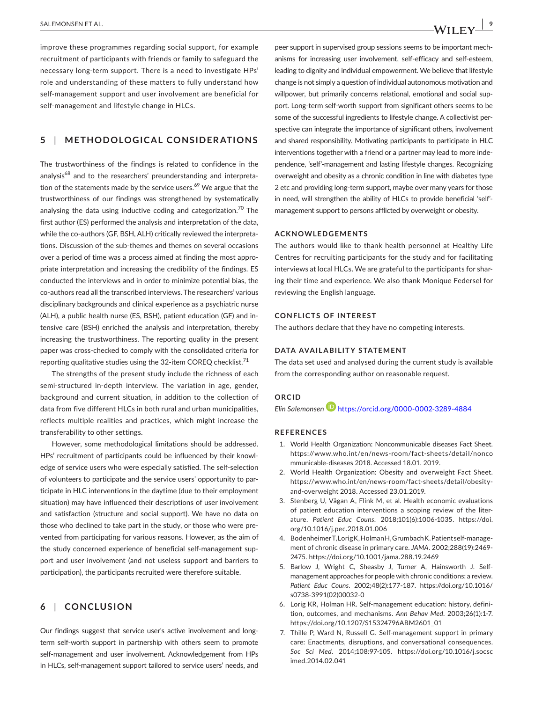improve these programmes regarding social support, for example recruitment of participants with friends or family to safeguard the necessary long-term support. There is a need to investigate HPs' role and understanding of these matters to fully understand how self-management support and user involvement are beneficial for self-management and lifestyle change in HLCs.

# **5** | **METHODOLOGICAL CONSIDERATIONS**

The trustworthiness of the findings is related to confidence in the analysis<sup>68</sup> and to the researchers' preunderstanding and interpretation of the statements made by the service users.<sup>69</sup> We argue that the trustworthiness of our findings was strengthened by systematically analysing the data using inductive coding and categorization.<sup>70</sup> The first author (ES) performed the analysis and interpretation of the data, while the co-authors (GF, BSH, ALH) critically reviewed the interpretations. Discussion of the sub-themes and themes on several occasions over a period of time was a process aimed at finding the most appropriate interpretation and increasing the credibility of the findings. ES conducted the interviews and in order to minimize potential bias, the co-authors read all the transcribed interviews. The researchers' various disciplinary backgrounds and clinical experience as a psychiatric nurse (ALH), a public health nurse (ES, BSH), patient education (GF) and intensive care (BSH) enriched the analysis and interpretation, thereby increasing the trustworthiness. The reporting quality in the present paper was cross-checked to comply with the consolidated criteria for reporting qualitative studies using the 32-item COREQ checklist.<sup>71</sup>

The strengths of the present study include the richness of each semi-structured in-depth interview. The variation in age, gender, background and current situation, in addition to the collection of data from five different HLCs in both rural and urban municipalities, reflects multiple realities and practices, which might increase the transferability to other settings.

However, some methodological limitations should be addressed. HPs' recruitment of participants could be influenced by their knowledge of service users who were especially satisfied. The self-selection of volunteers to participate and the service users' opportunity to participate in HLC interventions in the daytime (due to their employment situation) may have influenced their descriptions of user involvement and satisfaction (structure and social support). We have no data on those who declined to take part in the study, or those who were prevented from participating for various reasons. However, as the aim of the study concerned experience of beneficial self-management support and user involvement (and not useless support and barriers to participation), the participants recruited were therefore suitable.

# **6** | **CONCLUSION**

Our findings suggest that service user's active involvement and longterm self-worth support in partnership with others seem to promote self-management and user involvement. Acknowledgement from HPs in HLCs, self-management support tailored to service users' needs, and peer support in supervised group sessions seems to be important mechanisms for increasing user involvement, self-efficacy and self-esteem, leading to dignity and individual empowerment. We believe that lifestyle change is not simply a question of individual autonomous motivation and willpower, but primarily concerns relational, emotional and social support. Long-term self-worth support from significant others seems to be some of the successful ingredients to lifestyle change. A collectivist perspective can integrate the importance of significant others, involvement and shared responsibility. Motivating participants to participate in HLC interventions together with a friend or a partner may lead to more independence, 'self'-management and lasting lifestyle changes. Recognizing overweight and obesity as a chronic condition in line with diabetes type 2 etc and providing long-term support, maybe over many years for those in need, will strengthen the ability of HLCs to provide beneficial 'self' management support to persons afflicted by overweight or obesity.

### **ACKNOWLEDGEMENTS**

The authors would like to thank health personnel at Healthy Life Centres for recruiting participants for the study and for facilitating interviews at local HLCs. We are grateful to the participants for sharing their time and experience. We also thank Monique Federsel for reviewing the English language.

#### **CONFLICTS OF INTEREST**

The authors declare that they have no competing interests.

#### **DATA AVAILABILITY STATEMENT**

The data set used and analysed during the current study is available from the corresponding author on reasonable request.

#### **ORCID**

*Elin Salemonsen* <https://orcid.org/0000-0002-3289-4884>

#### **REFERENCES**

- 1. World Health Organization: Noncommunicable diseases Fact Sheet. [https://www.who.int/en/news-room/fact-sheets/detail/nonco](https://www.who.int/en/news-room/fact-sheets/detail/noncommunicable-diseases) [mmunicable-diseases](https://www.who.int/en/news-room/fact-sheets/detail/noncommunicable-diseases) 2018. Accessed 18.01. 2019.
- 2. World Health Organization: Obesity and overweight Fact Sheet. [https://www.who.int/en/news-room/fact-sheets/detail/obesity](https://www.who.int/en/news-room/fact-sheets/detail/obesity-and-overweight)[and-overweight](https://www.who.int/en/news-room/fact-sheets/detail/obesity-and-overweight) 2018. Accessed 23.01.2019.
- 3. Stenberg U, Vågan A, Flink M, et al. Health economic evaluations of patient education interventions a scoping review of the literature. *Patient Educ Couns*. 2018;101(6):1006-1035. [https://doi.](https://doi.org/10.1016/j.pec.2018.01.006) [org/10.1016/j.pec.2018.01.006](https://doi.org/10.1016/j.pec.2018.01.006)
- 4. Bodenheimer T, Lorig K, Holman H, Grumbach K. Patient self-management of chronic disease in primary care. *JAMA*. 2002;288(19):2469- 2475. <https://doi.org/10.1001/jama.288.19.2469>
- 5. Barlow J, Wright C, Sheasby J, Turner A, Hainsworth J. Selfmanagement approaches for people with chronic conditions: a review. *Patient Educ Couns*. 2002;48(2):177-187. [https://doi.org/10.1016/](https://doi.org/10.1016/s0738-3991(02)00032-0) [s0738-3991\(02\)00032-0](https://doi.org/10.1016/s0738-3991(02)00032-0)
- 6. Lorig KR, Holman HR. Self-management education: history, definition, outcomes, and mechanisms. *Ann Behav Med*. 2003;26(1):1-7. [https://doi.org/10.1207/S15324796ABM2601\\_01](https://doi.org/10.1207/S15324796ABM2601_01)
- 7. Thille P, Ward N, Russell G. Self-management support in primary care: Enactments, disruptions, and conversational consequences. *Soc Sci Med*. 2014;108:97-105. [https://doi.org/10.1016/j.socsc](https://doi.org/10.1016/j.socscimed.2014.02.041) [imed.2014.02.041](https://doi.org/10.1016/j.socscimed.2014.02.041)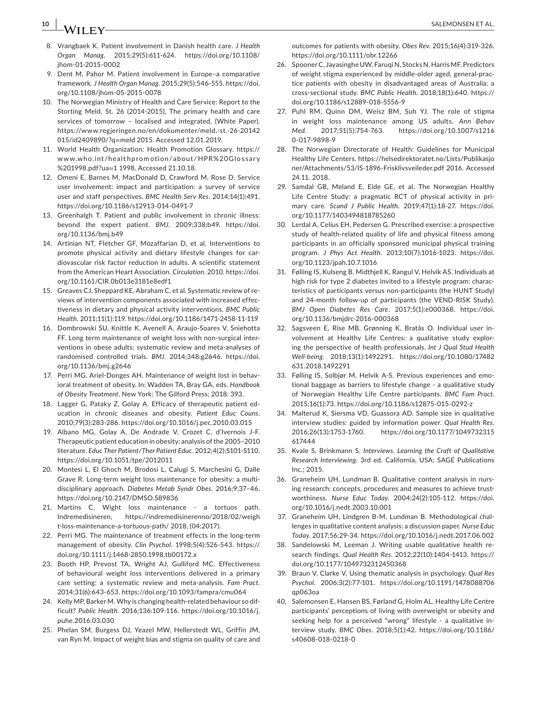# **10 |**  SALEMONSEN ET AL.

- 8. Vrangbaek K. Patient involvement in Danish health care. *J Health Organ Manag*. 2015;29(5):611-624. [https://doi.org/10.1108/](https://doi.org/10.1108/jhom-01-2015-0002) [jhom-01-2015-0002](https://doi.org/10.1108/jhom-01-2015-0002)
- 9. Dent M, Pahor M. Patient involvement in Europe–a comparative framework. *J Health Organ Manag*. 2015;29(5):546-555. [https://doi.](https://doi.org/10.1108/jhom-05-2015-0078) [org/10.1108/jhom-05-2015-0078](https://doi.org/10.1108/jhom-05-2015-0078)
- 10. The Norwegian Ministry of Health and Care Service: Report to the Storting Meld. St. 26 (2014-2015), The primary health and care services of tomorrow – localised and integrated, (White Paper). [https://www.regjeringen.no/en/dokumenter/meld.-st.-26-20142](https://www.regjeringen.no/en/dokumenter/meld.-st.-26-20142015/id2409890/?q=meld) [015/id2409890/?q](https://www.regjeringen.no/en/dokumenter/meld.-st.-26-20142015/id2409890/?q=meld)=meld 2015. Accessed 12.01.2019.
- 11. World Health Organization: Health Promotion Glossary. [https://](https://www.who.int/healthpromotion/about/HPR Glossary 1998.pdf?ua=1) [www.who.int/healt](https://www.who.int/healthpromotion/about/HPR Glossary 1998.pdf?ua=1) hprom otion/ about/ HPR%20Glo ssary [%201998.pdf?ua](https://www.who.int/healthpromotion/about/HPR Glossary 1998.pdf?ua=1)=1 1998. Accessed 21.10.18.
- 12. Omeni E, Barnes M, MacDonald D, Crawford M, Rose D. Service user involvement: impact and participation: a survey of service user and staff perspectives. *BMC Health Serv Res*. 2014;14(1):491. <https://doi.org/10.1186/s12913-014-0491-7>
- 13. Greenhalgh T. Patient and public involvement in chronic illness: beyond the expert patient. *BMJ*. 2009;338:b49. [https://doi.](https://doi.org/10.1136/bmj.b49) [org/10.1136/bmj.b49](https://doi.org/10.1136/bmj.b49)
- 14. Artinian NT, Fletcher GF, Mozaffarian D, et al. Interventions to promote physical activity and dietary lifestyle changes for cardiovascular risk factor reduction in adults. A scientific statement from the American Heart Association. *Circulation*. 2010. [https://doi.](https://doi.org/10.1161/CIR.0b013e3181e8edf1) [org/10.1161/CIR.0b013e3181e8edf1](https://doi.org/10.1161/CIR.0b013e3181e8edf1)
- 15. Greaves CJ, Sheppard KE, Abraham C, et al. Systematic review of reviews of intervention components associated with increased effectiveness in dietary and physical activity interventions. *BMC Public Health*. 2011;11(1):119. <https://doi.org/10.1186/1471-2458-11-119>
- 16. Dombrowski SU, Knittle K, Avenell A, Araujo-Soares V, Sniehotta FF. Long term maintenance of weight loss with non-surgical interventions in obese adults: systematic review and meta-analyses of randomised controlled trials. *BMJ*. 2014;348:g2646. [https://doi.](https://doi.org/10.1136/bmj.g2646) [org/10.1136/bmj.g2646](https://doi.org/10.1136/bmj.g2646)
- 17. Perri MG, Ariel-Donges AH. Maintenance of weight lost in behavioral treatment of obesity. In: Wadden TA, Bray GA, eds. *Handbook of Obesity Treatment*. New York: The Gilford Press; 2018: 393.
- 18. Lagger G, Pataky Z, Golay A. Efficacy of therapeutic patient education in chronic diseases and obesity. *Patient Educ Couns*. 2010;79(3):283-286.<https://doi.org/10.1016/j.pec.2010.03.015>
- 19. Albano MG, Golay A, De Andrade V, Crozet C, d'Ivernois J-F. Therapeutic patient education in obesity: analysis of the 2005–2010 literature. *Educ Ther Patient/Ther Patient Educ*. 2012;4(2):S101-S110. <https://doi.org/10.1051/tpe/2012011>
- 20. Montesi L, El Ghoch M, Brodosi L, Calugi S, Marchesini G, Dalle Grave R. Long-term weight loss maintenance for obesity: a multidisciplinary approach. *Diabetes Metab Syndr Obes*. 2016;9:37–46. <https://doi.org/10.2147/DMSO.S89836>
- 21. Martins C. Wight loss maintenance a tortuos path. Indremedisineren, [https://indremedisinerenno/2018/02/weigh](https://indremedisinerenno/2018/02/weight-loss-maintenance-a-tortuous-path/) [t-loss-maintenance-a-tortuous-path/](https://indremedisinerenno/2018/02/weight-loss-maintenance-a-tortuous-path/) 2018, (04:2017).
- 22. Perri MG. The maintenance of treatment effects in the long-term management of obesity. *Clin Psychol*. 1998;5(4):526-543. [https://](https://doi.org/10.1111/j.1468-2850.1998.tb00172.x) [doi.org/10.1111/j.1468-2850.1998.tb00172.x](https://doi.org/10.1111/j.1468-2850.1998.tb00172.x)
- 23. Booth HP, Prevost TA, Wright AJ, Gulliford MC. Effectiveness of behavioural weight loss interventions delivered in a primary care setting: a systematic review and meta-analysis. *Fam Pract*. 2014;31(6):643-653. <https://doi.org/10.1093/fampra/cmu064>
- 24. Kelly MP, Barker M. Why is changing health-related behaviour so difficult? *Public Health*. 2016;136:109-116. [https://doi.org/10.1016/j.](https://doi.org/10.1016/j.puhe.2016.03.030) [puhe.2016.03.030](https://doi.org/10.1016/j.puhe.2016.03.030)
- 25. Phelan SM, Burgess DJ, Yeazel MW, Hellerstedt WL, Griffin JM, van Ryn M. Impact of weight bias and stigma on quality of care and

outcomes for patients with obesity. *Obes Rev*. 2015;16(4):319-326. <https://doi.org/10.1111/obr.12266>

- 26. Spooner C, Jayasinghe UW, Faruqi N, Stocks N, Harris MF. Predictors of weight stigma experienced by middle-older aged, general-practice patients with obesity in disadvantaged areas of Australia: a cross-sectional study. *BMC Public Health*. 2018;18(1):640. [https://](https://doi.org/10.1186/s12889-018-5556-9) [doi.org/10.1186/s12889-018-5556-9](https://doi.org/10.1186/s12889-018-5556-9)
- 27. Puhl RM, Quinn DM, Weisz BM, Suh YJ. The role of stigma in weight loss maintenance among US adults. *Ann Behav Med*. 2017;51(5):754-763. [https://doi.org/10.1007/s1216](https://doi.org/10.1007/s12160-017-9898-9) [0-017-9898-9](https://doi.org/10.1007/s12160-017-9898-9)
- 28. The Norwegian Directorate of Health: Guidelines for Municipal Healthy Life Centers. [https://helsedirektoratet.no/Lists/Publikasjo](https://helsedirektoratet.no/Lists/Publikasjoner/Attachments/53/IS-1896-Frisklivsveileder.pdf) [ner/Attachments/53/IS-1896-Frisklivsveileder.pdf](https://helsedirektoratet.no/Lists/Publikasjoner/Attachments/53/IS-1896-Frisklivsveileder.pdf) 2016. Accessed 24.11. 2018.
- 29. Samdal GB, Meland E, Eide GE, et al. The Norwegian Healthy Life Centre Study: a pragmatic RCT of physical activity in primary care. *Scand J Public Health*. 2019;47(1):18-27. [https://doi.](https://doi.org/10.1177/1403494818785260) [org/10.1177/1403494818785260](https://doi.org/10.1177/1403494818785260)
- 30. Lerdal A, Celius EH, Pedersen G. Prescribed exercise: a prospective study of health-related quality of life and physical fitness among participants in an officially sponsored municipal physical training program. *J Phys Act Health*. 2013;10(7):1016-1023. [https://doi.](https://doi.org/10.1123/jpah.10.7.1016) [org/10.1123/jpah.10.7.1016](https://doi.org/10.1123/jpah.10.7.1016)
- 31. Følling IS, Kulseng B, Midthjell K, Rangul V, Helvik AS. Individuals at high risk for type 2 diabetes invited to a lifestyle program: characteristics of participants versus non-participants (the HUNT Study) and 24-month follow-up of participants (the VEND-RISK Study). *BMJ Open Diabetes Res Care*. 2017;5(1):e000368. [https://doi.](https://doi.org/10.1136/bmjdrc-2016-000368) [org/10.1136/bmjdrc-2016-000368](https://doi.org/10.1136/bmjdrc-2016-000368)
- 32. Sagsveen E, Rise MB, Grønning K, Bratås O. Individual user involvement at Healthy Life Centres: a qualitative study exploring the perspective of health professionals. *Int J Qual Stud Health Well-being*. 2018;13(1):1492291. [https://doi.org/10.1080/17482](https://doi.org/10.1080/17482631.2018.1492291) [631.2018.1492291](https://doi.org/10.1080/17482631.2018.1492291)
- 33. Følling IS, Solbjør M, Helvik A-S. Previous experiences and emotional baggage as barriers to lifestyle change - a qualitative study of Norwegian Healthy Life Centre participants. *BMC Fam Pract*. 2015;16(1):73. <https://doi.org/10.1186/s12875-015-0292-z>
- 34. Malterud K, Siersma VD, Guassora AD. Sample size in qualitative interview studies: guided by information power. *Qual Health Res*. 2016;26(13):1753-1760. [https://doi.org/10.1177/1049732315](https://doi.org/10.1177/1049732315617444) [617444](https://doi.org/10.1177/1049732315617444)
- 35. Kvale S, Brinkmann S. *Interviews. Learning the Craft of Qualitative Research Interviewing*. 3rd ed. California, USA: SAGE Publications Inc.; 2015.
- 36. Graneheim UH, Lundman B. Qualitative content analysis in nursing research: concepts, procedures and measures to achieve trustworthiness. *Nurse Educ Today*. 2004;24(2):105-112. [https://doi.](https://doi.org/10.1016/j.nedt.2003.10.001) [org/10.1016/j.nedt.2003.10.001](https://doi.org/10.1016/j.nedt.2003.10.001)
- 37. Graneheim UH, Lindgren B-M, Lundman B. Methodological challenges in qualitative content analysis: a discussion paper. *Nurse Educ Today*. 2017;56:29-34. <https://doi.org/10.1016/j.nedt.2017.06.002>
- 38. Sandelowski M, Leeman J. Writing usable qualitative health research findings. *Qual Health Res*. 2012;22(10):1404-1413. [https://](https://doi.org/10.1177/1049732312450368) [doi.org/10.1177/1049732312450368](https://doi.org/10.1177/1049732312450368)
- 39. Braun V, Clarke V. Using thematic analysis in psychology. *Qual Res Psychol*. 2006;3(2):77-101. [https://doi.org/10.1191/1478088706](https://doi.org/10.1191/1478088706qp063oa) [qp063oa](https://doi.org/10.1191/1478088706qp063oa)
- 40. Salemonsen E, Hansen BS, Førland G, Holm AL. Healthy Life Centre participants' perceptions of living with overweight or obesity and seeking help for a perceived "wrong" lifestyle - a qualitative interview study. *BMC Obes*. 2018;5(1):42. [https://doi.org/10.1186/](https://doi.org/10.1186/s40608-018-0218-0) [s40608-018-0218-0](https://doi.org/10.1186/s40608-018-0218-0)